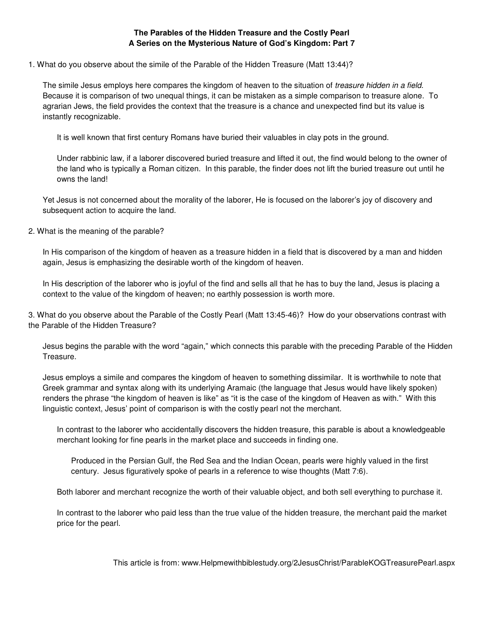## **The Parables of the Hidden Treasure and the Costly Pearl A Series on the Mysterious Nature of God's Kingdom: Part 7**

1. What do you observe about the simile of the Parable of the Hidden Treasure (Matt 13:44)?

The simile Jesus employs here compares the kingdom of heaven to the situation of *treasure hidden in a field*. Because it is comparison of two unequal things, it can be mistaken as a simple comparison to treasure alone. To agrarian Jews, the field provides the context that the treasure is a chance and unexpected find but its value is instantly recognizable.

It is well known that first century Romans have buried their valuables in clay pots in the ground.

Under rabbinic law, if a laborer discovered buried treasure and lifted it out, the find would belong to the owner of the land who is typically a Roman citizen. In this parable, the finder does not lift the buried treasure out until he owns the land!

Yet Jesus is not concerned about the morality of the laborer, He is focused on the laborer's joy of discovery and subsequent action to acquire the land.

2. What is the meaning of the parable?

In His comparison of the kingdom of heaven as a treasure hidden in a field that is discovered by a man and hidden again, Jesus is emphasizing the desirable worth of the kingdom of heaven.

In His description of the laborer who is joyful of the find and sells all that he has to buy the land, Jesus is placing a context to the value of the kingdom of heaven; no earthly possession is worth more.

3. What do you observe about the Parable of the Costly Pearl (Matt 13:45-46)? How do your observations contrast with the Parable of the Hidden Treasure?

Jesus begins the parable with the word "again," which connects this parable with the preceding Parable of the Hidden Treasure.

Jesus employs a simile and compares the kingdom of heaven to something dissimilar. It is worthwhile to note that Greek grammar and syntax along with its underlying Aramaic (the language that Jesus would have likely spoken) renders the phrase "the kingdom of heaven is like" as "it is the case of the kingdom of Heaven as with." With this linguistic context, Jesus' point of comparison is with the costly pearl not the merchant.

In contrast to the laborer who accidentally discovers the hidden treasure, this parable is about a knowledgeable merchant looking for fine pearls in the market place and succeeds in finding one.

Produced in the Persian Gulf, the Red Sea and the Indian Ocean, pearls were highly valued in the first century. Jesus figuratively spoke of pearls in a reference to wise thoughts (Matt 7:6).

Both laborer and merchant recognize the worth of their valuable object, and both sell everything to purchase it.

In contrast to the laborer who paid less than the true value of the hidden treasure, the merchant paid the market price for the pearl.

This article is from: www.Helpmewithbiblestudy.org/2JesusChrist/ParableKOGTreasurePearl.aspx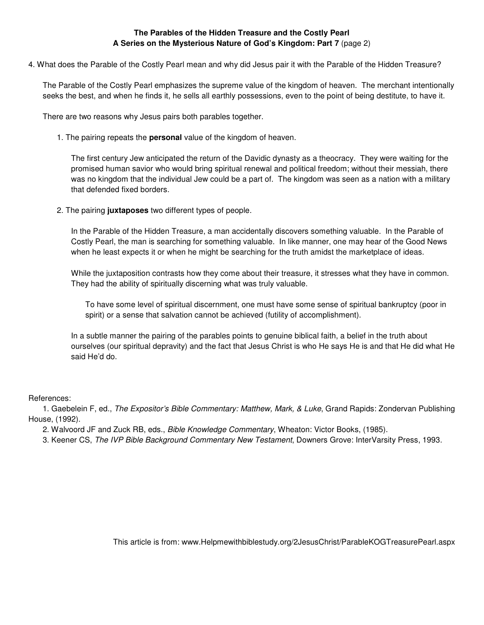## **The Parables of the Hidden Treasure and the Costly Pearl A Series on the Mysterious Nature of God's Kingdom: Part 7** (page 2)

4. What does the Parable of the Costly Pearl mean and why did Jesus pair it with the Parable of the Hidden Treasure?

The Parable of the Costly Pearl emphasizes the supreme value of the kingdom of heaven. The merchant intentionally seeks the best, and when he finds it, he sells all earthly possessions, even to the point of being destitute, to have it.

There are two reasons why Jesus pairs both parables together.

1. The pairing repeats the **personal** value of the kingdom of heaven.

The first century Jew anticipated the return of the Davidic dynasty as a theocracy. They were waiting for the promised human savior who would bring spiritual renewal and political freedom; without their messiah, there was no kingdom that the individual Jew could be a part of. The kingdom was seen as a nation with a military that defended fixed borders.

2. The pairing **juxtaposes** two different types of people.

In the Parable of the Hidden Treasure, a man accidentally discovers something valuable. In the Parable of Costly Pearl, the man is searching for something valuable. In like manner, one may hear of the Good News when he least expects it or when he might be searching for the truth amidst the marketplace of ideas.

While the juxtaposition contrasts how they come about their treasure, it stresses what they have in common. They had the ability of spiritually discerning what was truly valuable.

To have some level of spiritual discernment, one must have some sense of spiritual bankruptcy (poor in spirit) or a sense that salvation cannot be achieved (futility of accomplishment).

In a subtle manner the pairing of the parables points to genuine biblical faith, a belief in the truth about ourselves (our spiritual depravity) and the fact that Jesus Christ is who He says He is and that He did what He said He'd do.

## References:

1. Gaebelein F, ed., The Expositor's Bible Commentary: Matthew, Mark, & Luke, Grand Rapids: Zondervan Publishing House, (1992).

2. Walvoord JF and Zuck RB, eds., Bible Knowledge Commentary, Wheaton: Victor Books, (1985).

3. Keener CS, The IVP Bible Background Commentary New Testament, Downers Grove: InterVarsity Press, 1993.